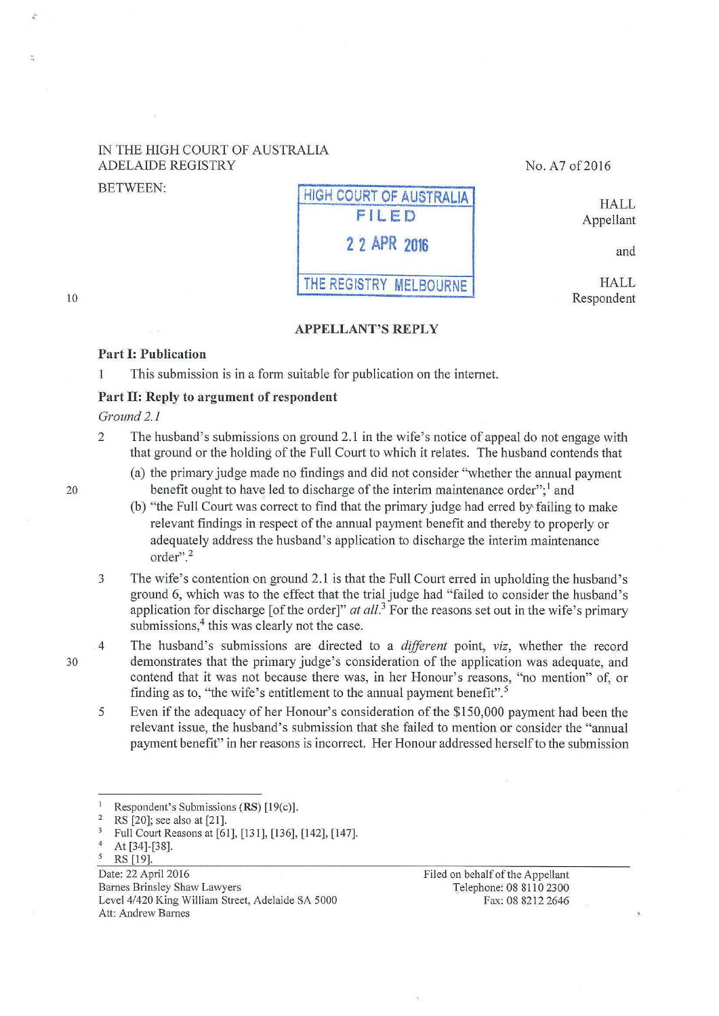## IN THE HIGH COURT OF AUSTRALIA ADELAIDE REGISTRY No. A7 of 2016

.-

# BETWEEN: HIGH COURT OF AUSTRALIA FILED **2** 2 APR **<sup>2016</sup>** THE REGISTRY MELBOURNE

HALL Appellant

and

HALL Respondent

## APPELLANT'S REPLY

## Part I: Publication

This submission is in a form suitable for publication on the internet.  $\mathbf{1}$ 

## Part II: Reply to argument of respondent

## *Ground 2.1*

- 2 The husband's submissions on ground 2.1 in the wife's notice of appeal do not engage with that ground or the holding of the Full Court to which it relates. The husband contends that
	- (a) the primary judge made no findings and did not consider "whether the annual payment benefit ought to have led to discharge of the interim maintenance order";  $\frac{1}{2}$  and
	- (b) "the Full Court was correct to find that the primary judge had erred by· failing to make relevant findings in respect of the annual payment benefit and thereby to properly or adequately address the husband's application to discharge the interim maintenance order".<sup>2</sup>
- 3 The wife's contention on ground 2.1 is that the Full Court erred in upholding the husband's ground 6, which was to the effect that the trial judge had "failed to consider the husband's application for discharge [of the order]"  $at$   $all$ <sup>3</sup> For the reasons set out in the wife's primary submissions,<sup>4</sup> this was clearly not the case.
- 4 The husband's submissions are directed to a *different* point, *viz,* whether the record demonstrates that the primary judge's consideration of the application was adequate, and contend that it was not because there was, in her Honour's reasons, "no mention" of, or finding as to, "the wife's entitlement to the annual payment benefit".<sup>5</sup>
- 5 Even if the adequacy of her Honour's consideration of the \$150,000 payment had been the relevant issue, the husband's submission that she failed to mention or consider the "annual payment benefit" in her reasons is incorrect. Her Honour addressed herself to the submission

Date: 22 April 2016 Barnes Brinsley Shaw Lawyers Level 4/420 King William Street, Adelaide SA 5000 Att: Andrew Bames

Filed on behalf of the Appellant Telephone: 08 8110 2300 Fax: 08 8212 2646

30

20

lO

<sup>&</sup>lt;sup>1</sup> Respondent's Submissions (RS)  $[19(c)]$ .<br><sup>2</sup> RS  $[20]$ ; see also at  $[21]$ .

<sup>&</sup>lt;sup>3</sup> Full Court Reasons at [61], [131], [136], [142], [147].<br><sup>4</sup> At [34]-[38].<br><sup>5</sup> RS [19].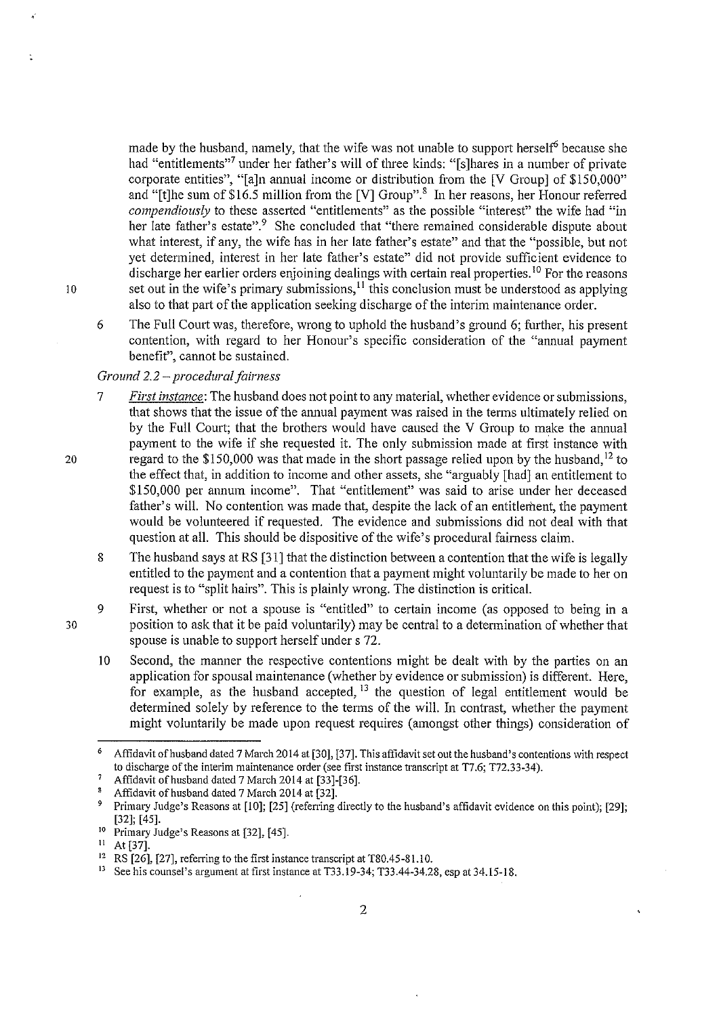made by the husband, namely, that the wife was not unable to support herself<sup>6</sup> because she had "entitlements"<sup>7</sup> under her father's will of three kinds: "[s]hares in a number of private corporate entities", "[a]n annual income or distribution from the [V Group] of \$150,000" and "[t]he sum of \$16.5 million from the [V] Group".<sup>8</sup> In her reasons, her Honour referred *compendiously* to these asserted "entitlements" as the possible "interest" the wife had "in her late father's estate".<sup>9</sup> She concluded that "there remained considerable dispute about what interest, if any, the wife has in her late father's estate" and that the "possible, but not yet determined, interest in her late father's estate" did not provide sufficient evidence to discharge her earlier orders enjoining dealings with certain real properties.<sup>10</sup> For the reasons 10 set out in the wife's primary submissions,<sup>11</sup> this conclusion must be understood as applying also to that part of the application seeking discharge of the interim maintenance order.

6 The Full Court was, therefore, wrong to uphold the husband's ground 6; further, his present contention, with regard to her Honour's specific consideration of the "annual payment benefit", cannot be sustained.

## *Ground 2.2- procedural fairness*

- 7 *First instance:* The husband does not point to any material, whether evidence or submissions, that shows that the issue of the annual payment was raised in the terms ultimately relied on by the Full Court; that the brothers would have caused the V Group to make the ammal payment to the wife if she requested it. The only submission made at first instance with regard to the \$150,000 was that made in the short passage relied upon by the husband,  $^{12}$  to the effect that, in addition to income and other assets, she "arguably [had] an entitlement to \$150,000 per annum income". That "entitlement" was said to arise under her deceased father's will. No contention was made that, despite the lack of an entitlement, the payment would be volunteered if requested. The evidence and submissions did not deal with that question at all. This should be dispositive of the wife's procedural fairness claim.
- 8 The husband says at RS [31] that the distinction between a contention that the wife is legally entitled to the payment and a contention that a payment might voluntarily be made to her on request is to "split hairs". This is plainly wrong. The distinction is critical.
- 9 First, whether or not a spouse is "entitled" to certain income (as opposed to being in a position to ask that it be paid voluntarily) may be central to a determination of whether that spouse is unable to support herself under s 72.
	- 10 Second, the manner the respective contentions might be dealt with by the parties on an application for spousal maintenance (whether by evidence or submission) is different. Here, for example, as the husband accepted, <sup>13</sup> the question of legal entitlement would be determined solely by reference to the terms of the will. In contrast, whether the payment might voluntarily be made upon request requires (amongst other things) consideration of

20

30

<sup>&</sup>lt;sup>6</sup> Affidavit of husband dated 7 March 2014 at [30], [37]. This affidavit set out the husband's contentions with respect **to discharge of the interim maintenance order (see first instance transcript at T7.6; T72.33-34).** 

<sup>7</sup> Affidavit of husband dated 7 March 2014 at [33]-[36]. 8 Affidavit of husband dated 7 March 2014 at [32].

<sup>9</sup> Primary Judge's Reasons at [10]; [25] (referring directly to the husband's affidavit evidence on this point); [29]; [32]; [45].<br><sup>10</sup> Primary Judge's Reasons at [32], [45].<br><sup>11</sup> At [37].<br><sup>12</sup> RS [26], [27], referring to the first instance transcript at T80.45-81.10.<br><sup>13</sup> See his counsel's argument at first instance at T33.19-34; T33.44-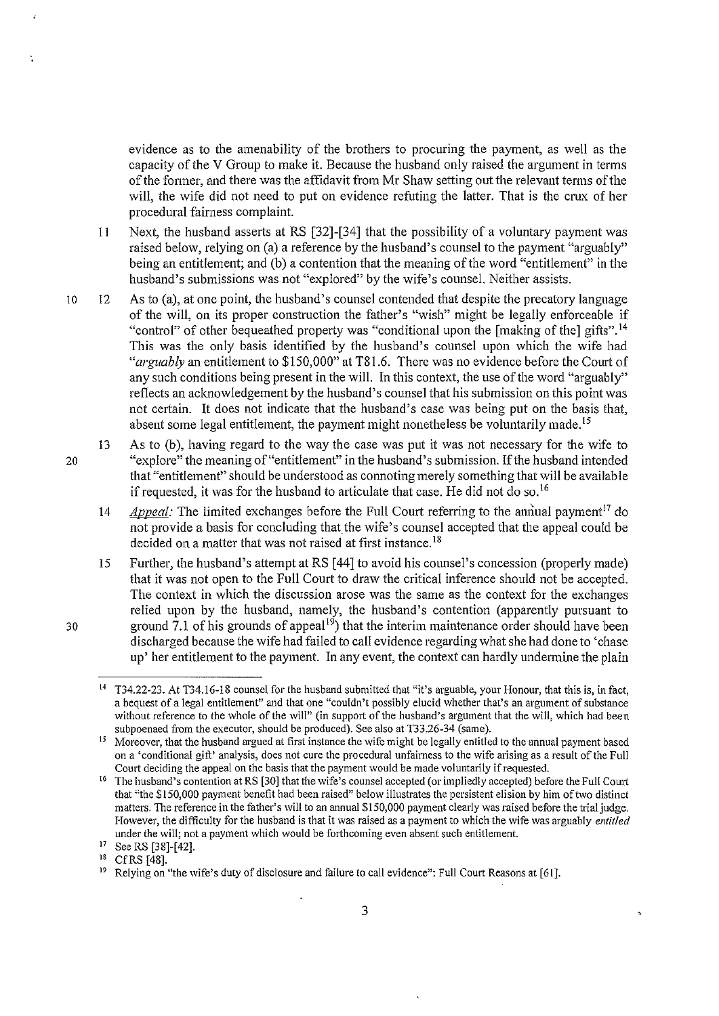evidence as to the amenability of the brothers to procuring the payment, as well as the capacity of the V Group to make it. Because the husband only raised the argument in terms of the fonner, and there was the affidavit from Mr Shaw setting out the relevant tenns of the will, the wife did not need to put on evidence refuting the latter. That is the crux of her procedural fairness complaint.

- 11 Next, the husband asserts at RS [32]-[34] that the possibility of a voluntary payment was raised below, relying on (a) a reference by the husband's counsel to the payment "arguably" being an entitlement; and (b) a contention that the meaning of the word "entitlement" in the husband's submissions was not "explored" by the wife's counsel. Neither assists.
- 10 12 As to (a), at one point, the husband's counsel contended that despite the precatory language of the will, on its proper construction the father's "wish" might be legally enforceable if "control" of other bequeathed property was "conditional upon the [making of the] gifts".<sup>14</sup> This was the only basis identified by the husband's counsel upon which the wife had *"arguably* an entitlement to \$150,000" at T81.6. There was no evidence before the Court of any such conditions being present in the will. In this context, the use of the word "arguably" reflects an acknowledgement by the husband's counsel that his submission on this point was not certain. It does not indicate that the husband's case was being put on the basis that, absent some legal entitlement, the payment might nonetheless be voluntarily made.<sup>15</sup>
- 13 As to (b), having regard to the way the case was put it was not necessary for the wife to 20 "explore" the meaning of"entitlement" in the husband's submission. If the husband intended that "entitlement" should be understood as connoting merely something that will be available if requested, it was for the husband to articulate that case. He did not do so.<sup>16</sup>
	- 14 *Appeal:* The limited exchanges before the Full Court referring to the annual payment<sup>17</sup> do not provide a basis for concluding that the wife's counsel accepted that the appeal could be decided on a matter that was not raised at first instance.<sup>18</sup>
- 15 Further, the husband's attempt at RS [44] to avoid his counsel's concession (properly made) that it was not open to the Full Court to draw the critical inference should not be accepted. The context in which the discussion arose was the same as the context for the exchanges relied upon by the husband, namely, the husband's contention (apparently pursuant to 30 ground 7.1 of his grounds of appeal<sup>19</sup>) that the interim maintenance order should have been discharged because the wife had failed to call evidence regarding what she had done to 'chase up' her entitlement to the payment. In any event, the context can hardly undermine the plain

<sup>14</sup>**T34.22-23. At T34.16-18 counsel for the husband submitted that "it's arguable, your Honour, that this is, in fact, a bequest of a legal entitlement" and that one ';couldn't possibly elucid whether that's an argument of substance without reference to the whole of the will" (in support of the husband's argument that the will, which had been**  subpoenaed from the executor, should be produced). See also at T33.26-34 (same).

*<sup>15</sup>***Moreover, that the husband argued at first instance the wife might be legally entitled to the annual payment based**  on a 'conditional gift' analysis, does not cure the procedural unfairness to the wife arising as a result of the Full Court deciding the appeal on the basis that the payment would be made voluntarily if requested.

<sup>&</sup>lt;sup>16</sup> The husband's contention at RS [30] that the wife's counsel accepted (or impliedly accepted) before the Full Court that "the \$150,000 payment benefit had been raised" below illustrates the persistent elision by him oftwo distinct **matters. The reference in the father's will to an annual \$150,000 payment clearly was raised before the trial judge. However, the difficulty for the husband is that it was raised as a payment to which the wife was arguably** *entitled*  **under the will; not a payment which would be forthcoming even absent such entitlement.** 

<sup>&</sup>lt;sup>17</sup> See RS [38]-[42].<br><sup>18</sup> Cf RS [48].<br><sup>19</sup> Relying on "the wife's duty of disclosure and failure to call evidence": Full Court Reasons at [61].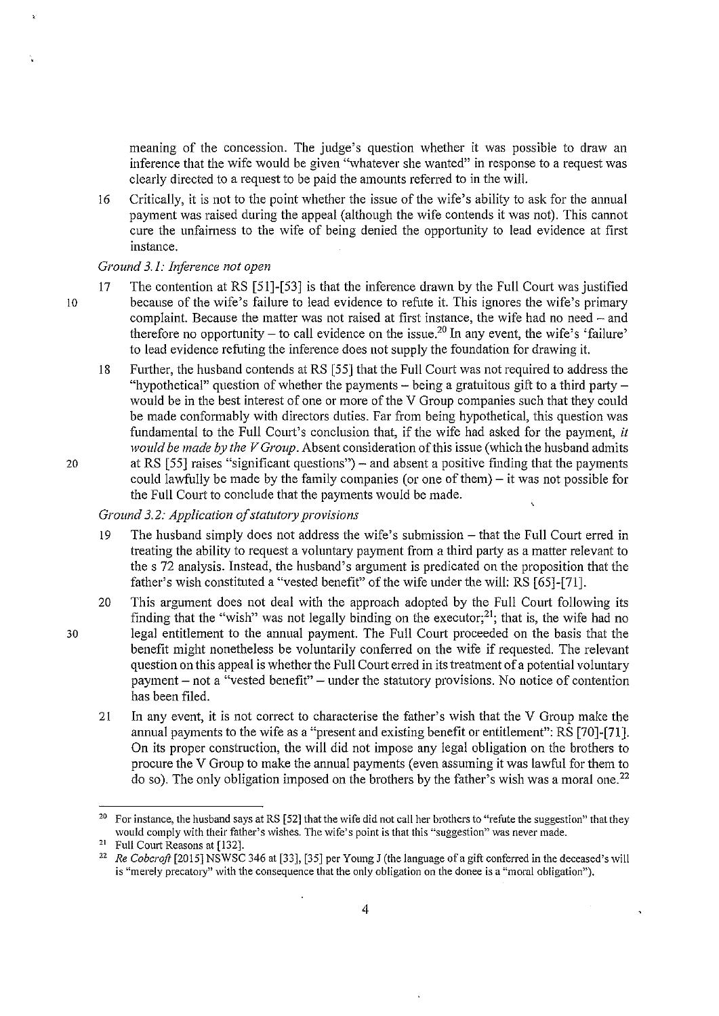meaning of the concession. The judge's question whether it was possible to draw an inference that the wife would be given "whatever she wanted" in response to a request was clearly directed to a request to be paid the amounts referred to in the will.

16 Critically, it is not to the point whether the issue of the wife's ability to ask for the annual payment was raised during the appeal (although the wife contends it was not). This cannot cure the unfairness to the wife of being denied the opportunity to lead evidence at first instance.

## *Ground 3.1: Inference not open*

- 17 The contention at RS [51]-[53] is that the inference drawn by the Full Court was justified 10 because of the wife's failure to lead evidence to refute it. This ignores the wife's primary complaint. Because the matter was not raised at first instance, the wife had no need - and therefore no opportunity – to call evidence on the issue.<sup>20</sup> In any event, the wife's 'failure' to lead evidence refitting the inference does not supply the foundation for drawing it.
- 18 Further, the husband contends at RS [55] that the Full Court was not required to address the "hypothetical" question of whether the payments  $-$  being a gratuitous gift to a third party  $$ would be in the best interest of one or more of the V Group companies such that they could be made conformably with directors duties. Far from being hypothetical, this question was fundamental to the Full Court's conclusion that, if the wife had asked for the payment, *it would be made by the V Group.* Absent consideration of this issue (which the husband admits 20 at RS [55] raises "significant questions")- and absent a positive finding that the payments
	- could lawfully be made by the family companies (or one of them) $-$  it was not possible for the Full Court to conclude that the payments would be made.

# *Ground 3.2: Application of statutory provisions*

- 19 The husband simply does not address the wife's submission- that the Full Court erred in treating the ability to request a voluntary payment from a third party as a matter relevant to the s 72 analysis. Instead, the husband's argument is predicated on the proposition that the father's wish constituted a "vested benefit" of the wife under the will: RS [65]-[71].
- 20 This argument does not deal with the approach adopted by the Full Court following its finding that the "wish" was not legally binding on the executor;<sup>21</sup>; that is, the wife had no 30 legal entitlement to the annual payment. The Full Court proceeded on the basis that the benefit might nonetheless be voluntarily conferred on the wife if requested. The relevant question on this appeal is whether the Full Court erred in its treatment of a potential voluntary payment- not a "vested benefit"- under the statutory provisions. No notice of contention has been filed.
	- 21 In any event, it is not correct to characterise the father's wish that the V Group make the annual payments to the wife as a "present and existing benefit or entitlement": RS [70]-[71]. On its proper construction, the will did not impose any legal obligation on the brothers to procure the V Group to make the annual payments (even assuming it was lawful for them to do so). The only obligation imposed on the brothers by the father's wish was a moral one.<sup>22</sup>

<sup>2</sup> <sup>o</sup> For instance, the husband says at RS [52] that the wife did not call her brothers to "refute the suggestion" that they **would comply with their father's wishes. The wife's point is that this "suggestion" was never made.** 

<sup>21</sup> Full Court Reasons at [132].

<sup>&</sup>lt;sup>22</sup> *Re Cobcroft* [2015] NSWSC 346 at [33], [35] per Young J (the language of a gift conferred in the deceased's will **is "merely precatory'' with the consequence that the only obligation on the donee is a "moral obligation'').**